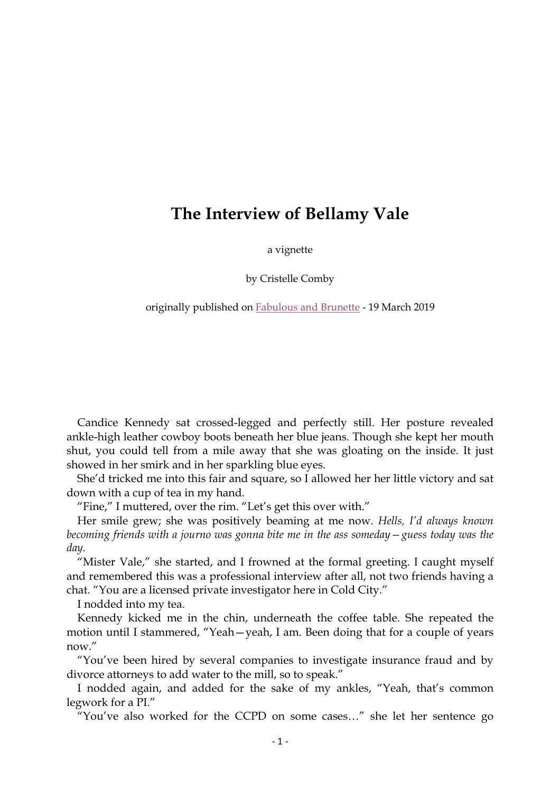## **The Interview of Bellamy Vale**

a vignette

by Cristelle Comby

originally published on Fabulous and Brunette - 19 March 2019

Candice Kennedy sat crossed-legged and perfectly still. Her posture revealed ankle-high leather cowboy boots beneath her blue jeans. Though she kept her mouth shut, you could tell from a mile away that she was gloating on the inside. It just showed in her smirk and in her sparkling blue eyes.

She'd tricked me into this fair and square, so I allowed her her little victory and sat down with a cup of tea in my hand.

"Fine," I muttered, over the rim. "Let's get this over with."

Her smile grew; she was positively beaming at me now. *Hells, I'd always known becoming friends with a journo was gonna bite me in the ass someday—guess today was the day.*

"Mister Vale," she started, and I frowned at the formal greeting. I caught myself and remembered this was a professional interview after all, not two friends having a chat. "You are a licensed private investigator here in Cold City."

I nodded into my tea.

Kennedy kicked me in the chin, underneath the coffee table. She repeated the motion until I stammered, "Yeah—yeah, I am. Been doing that for a couple of years now."

"You've been hired by several companies to investigate insurance fraud and by divorce attorneys to add water to the mill, so to speak."

I nodded again, and added for the sake of my ankles, "Yeah, that's common legwork for a PI."

"You've also worked for the CCPD on some cases…" she let her sentence go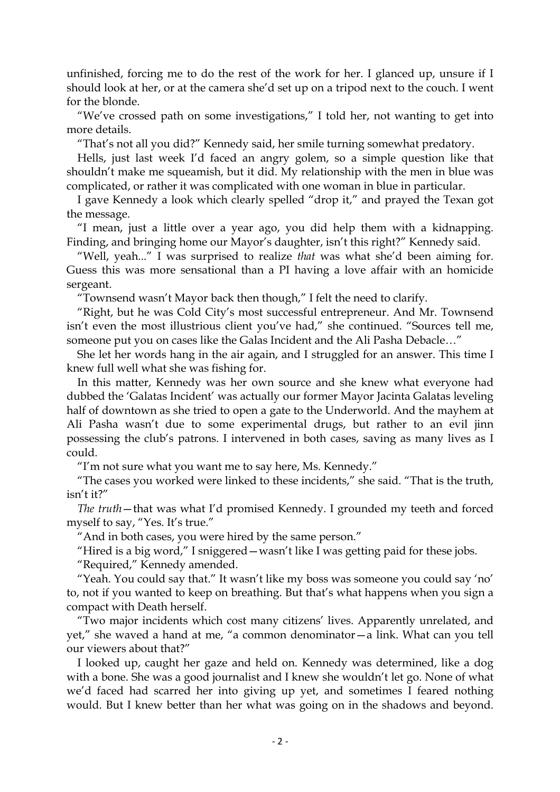unfinished, forcing me to do the rest of the work for her. I glanced up, unsure if I should look at her, or at the camera she'd set up on a tripod next to the couch. I went for the blonde.

"We've crossed path on some investigations," I told her, not wanting to get into more details.

"That's not all you did?" Kennedy said, her smile turning somewhat predatory.

Hells, just last week I'd faced an angry golem, so a simple question like that shouldn't make me squeamish, but it did. My relationship with the men in blue was complicated, or rather it was complicated with one woman in blue in particular.

I gave Kennedy a look which clearly spelled "drop it," and prayed the Texan got the message.

"I mean, just a little over a year ago, you did help them with a kidnapping. Finding, and bringing home our Mayor's daughter, isn't this right?" Kennedy said.

"Well, yeah..." I was surprised to realize *that* was what she'd been aiming for. Guess this was more sensational than a PI having a love affair with an homicide sergeant.

"Townsend wasn't Mayor back then though," I felt the need to clarify.

"Right, but he was Cold City's most successful entrepreneur. And Mr. Townsend isn't even the most illustrious client you've had," she continued. "Sources tell me, someone put you on cases like the Galas Incident and the Ali Pasha Debacle…"

She let her words hang in the air again, and I struggled for an answer. This time I knew full well what she was fishing for.

In this matter, Kennedy was her own source and she knew what everyone had dubbed the 'Galatas Incident' was actually our former Mayor Jacinta Galatas leveling half of downtown as she tried to open a gate to the Underworld. And the mayhem at Ali Pasha wasn't due to some experimental drugs, but rather to an evil jinn possessing the club's patrons. I intervened in both cases, saving as many lives as I could.

"I'm not sure what you want me to say here, Ms. Kennedy."

"The cases you worked were linked to these incidents," she said. "That is the truth, isn't it?"

*The truth*—that was what I'd promised Kennedy. I grounded my teeth and forced myself to say, "Yes. It's true."

"And in both cases, you were hired by the same person."

"Hired is a big word," I sniggered—wasn't like I was getting paid for these jobs.

"Required," Kennedy amended.

"Yeah. You could say that." It wasn't like my boss was someone you could say 'no' to, not if you wanted to keep on breathing. But that's what happens when you sign a compact with Death herself.

"Two major incidents which cost many citizens' lives. Apparently unrelated, and yet," she waved a hand at me, "a common denominator—a link. What can you tell our viewers about that?"

I looked up, caught her gaze and held on. Kennedy was determined, like a dog with a bone. She was a good journalist and I knew she wouldn't let go. None of what we'd faced had scarred her into giving up yet, and sometimes I feared nothing would. But I knew better than her what was going on in the shadows and beyond.